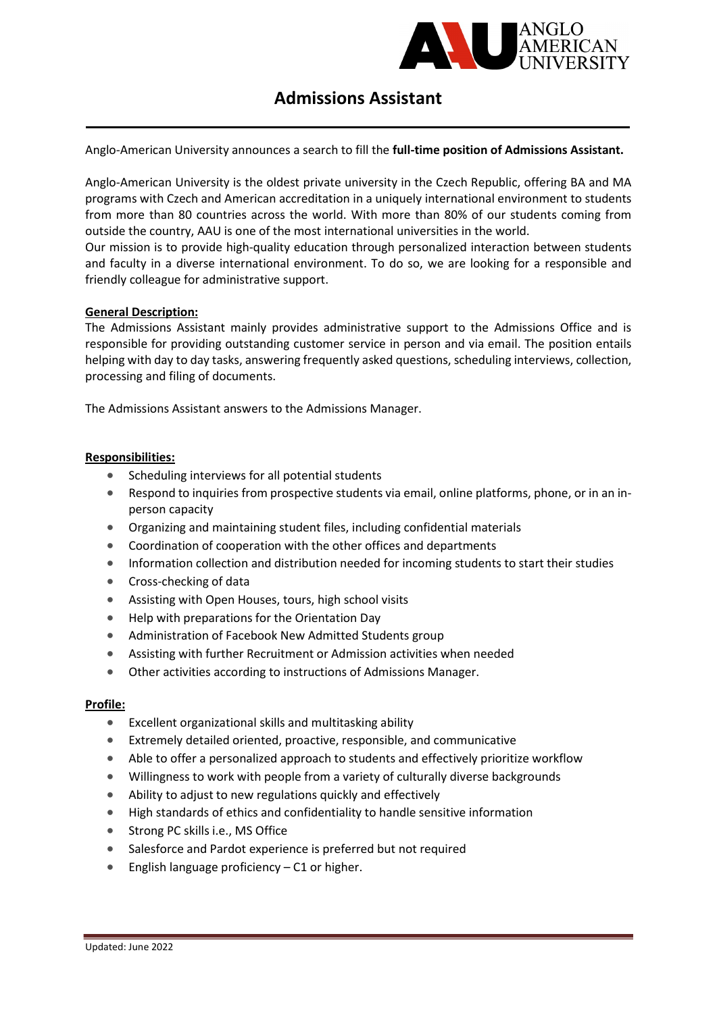

# Admissions Assistant

Anglo-American University announces a search to fill the full-time position of Admissions Assistant.

Anglo-American University is the oldest private university in the Czech Republic, offering BA and MA programs with Czech and American accreditation in a uniquely international environment to students from more than 80 countries across the world. With more than 80% of our students coming from outside the country, AAU is one of the most international universities in the world.

Our mission is to provide high-quality education through personalized interaction between students and faculty in a diverse international environment. To do so, we are looking for a responsible and friendly colleague for administrative support.

#### General Description:

The Admissions Assistant mainly provides administrative support to the Admissions Office and is responsible for providing outstanding customer service in person and via email. The position entails helping with day to day tasks, answering frequently asked questions, scheduling interviews, collection, processing and filing of documents.

The Admissions Assistant answers to the Admissions Manager.

## Responsibilities:

- Scheduling interviews for all potential students
- Respond to inquiries from prospective students via email, online platforms, phone, or in an inperson capacity
- Organizing and maintaining student files, including confidential materials
- Coordination of cooperation with the other offices and departments
- Information collection and distribution needed for incoming students to start their studies
- **•** Cross-checking of data
- Assisting with Open Houses, tours, high school visits
- Help with preparations for the Orientation Day
- Administration of Facebook New Admitted Students group
- Assisting with further Recruitment or Admission activities when needed
- Other activities according to instructions of Admissions Manager.

#### Profile:

- Excellent organizational skills and multitasking ability
- Extremely detailed oriented, proactive, responsible, and communicative
- Able to offer a personalized approach to students and effectively prioritize workflow
- Willingness to work with people from a variety of culturally diverse backgrounds
- Ability to adjust to new regulations quickly and effectively
- High standards of ethics and confidentiality to handle sensitive information
- **Strong PC skills i.e., MS Office**
- Salesforce and Pardot experience is preferred but not required
- **English language proficiency C1 or higher.**